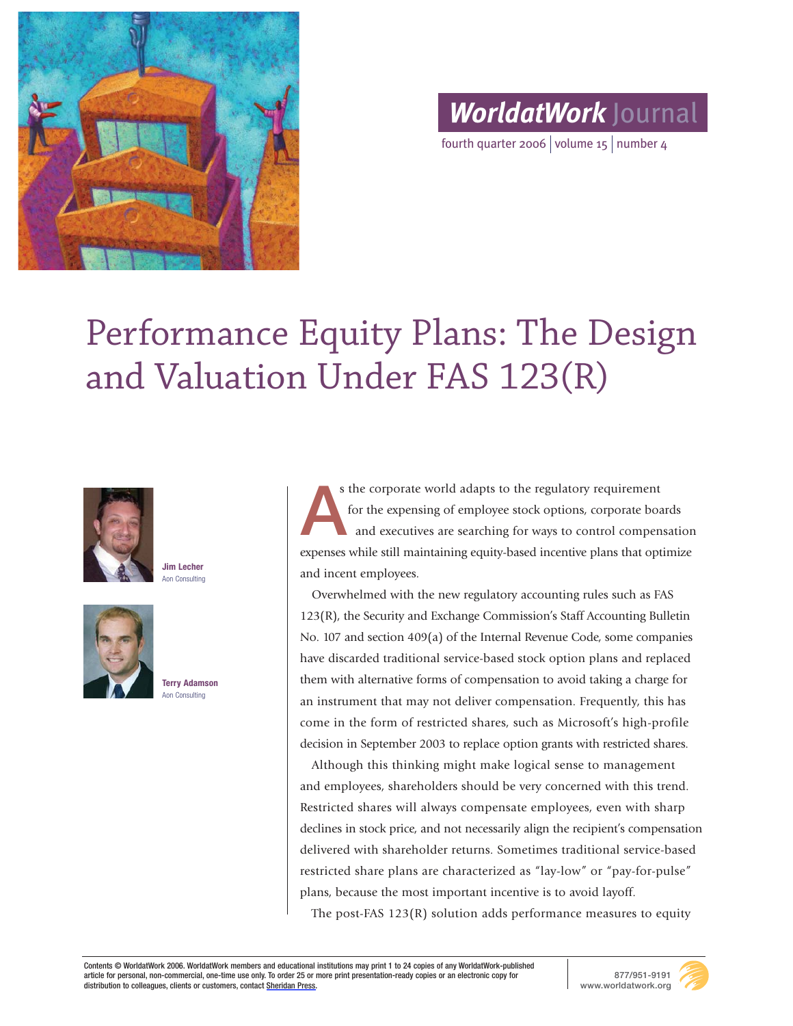

*WorldatWork* Journal

fourth quarter 2006 volume 15 number 4

# Performance Equity Plans: The Design and Valuation Under FAS 123(R)





**Jim Lecher** Aon Consulting



s the corporate world adapts to the regulatory requirement for the expensing of employee stock options, corporate boards and executives are searching for ways to control compensation expenses while still maintaining equity-based incentive plans that optimize and incent employees. **A**

Overwhelmed with the new regulatory accounting rules such as FAS 123(R), the Security and Exchange Commission's Staff Accounting Bulletin No. 107 and section 409(a) of the Internal Revenue Code, some companies have discarded traditional service-based stock option plans and replaced them with alternative forms of compensation to avoid taking a charge for an instrument that may not deliver compensation. Frequently, this has come in the form of restricted shares, such as Microsoft's high-profile decision in September 2003 to replace option grants with restricted shares.

Although this thinking might make logical sense to management and employees, shareholders should be very concerned with this trend. Restricted shares will always compensate employees, even with sharp declines in stock price, and not necessarily align the recipient's compensation delivered with shareholder returns. Sometimes traditional service-based restricted share plans are characterized as "lay-low" or "pay-for-pulse" plans, because the most important incentive is to avoid layoff. The post-FAS 123(R) solution adds performance measures to equity

Contents © WorldatWork 2006. WorldatWork members and educational institutions may print 1 to 24 copies of any WorldatWork-published article for personal, non-commercial, one-time use only. To order 25 or more print presentation-ready copies or an electronic copy for distribution to colleagues, clients or customers, contact [Sheridan Press.](http://www.worldatwork.org/forms/reprints.html)

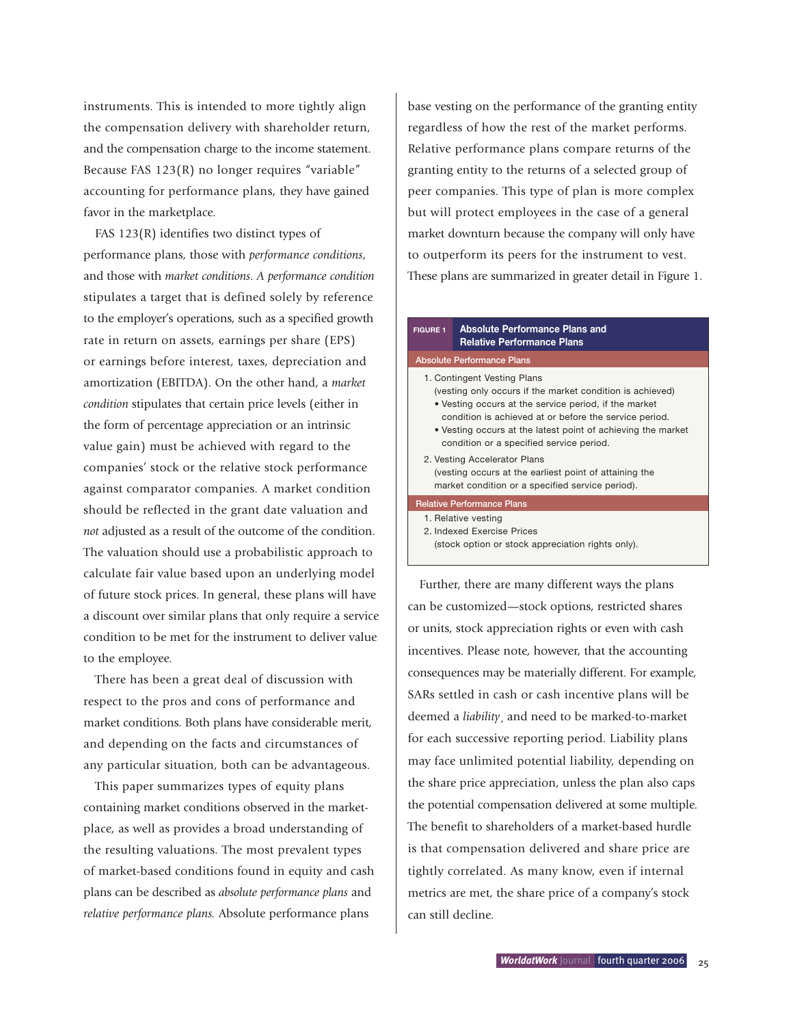instruments. This is intended to more tightly align the compensation delivery with shareholder return, and the compensation charge to the income statement. Because FAS 123(R) no longer requires "variable" accounting for performance plans, they have gained favor in the marketplace.

FAS 123(R) identifies two distinct types of performance plans, those with *performance conditions*, and those with *market conditions*. *A performance condition* stipulates a target that is defined solely by reference to the employer's operations, such as a specified growth rate in return on assets, earnings per share (EPS) or earnings before interest, taxes, depreciation and amortization (EBITDA). On the other hand, a *market condition* stipulates that certain price levels (either in the form of percentage appreciation or an intrinsic value gain) must be achieved with regard to the companies' stock or the relative stock performance against comparator companies. A market condition should be reflected in the grant date valuation and *not* adjusted as a result of the outcome of the condition. The valuation should use a probabilistic approach to calculate fair value based upon an underlying model of future stock prices. In general, these plans will have a discount over similar plans that only require a service condition to be met for the instrument to deliver value to the employee.

There has been a great deal of discussion with respect to the pros and cons of performance and market conditions. Both plans have considerable merit, and depending on the facts and circumstances of any particular situation, both can be advantageous.

This paper summarizes types of equity plans containing market conditions observed in the marketplace, as well as provides a broad understanding of the resulting valuations. The most prevalent types of market-based conditions found in equity and cash plans can be described as *absolute performance plans* and *relative performance plans.* Absolute performance plans

base vesting on the performance of the granting entity regardless of how the rest of the market performs. Relative performance plans compare returns of the granting entity to the returns of a selected group of peer companies. This type of plan is more complex but will protect employees in the case of a general market downturn because the company will only have to outperform its peers for the instrument to vest. These plans are summarized in greater detail in Figure 1.

## **FIGURE 1 Absolute Performance Plans and Relative Performance Plans**

# **Absolute Performance Plans** 1. Contingent Vesting Plans (vesting only occurs if the market condition is achieved) • Vesting occurs at the service period, if the market condition is achieved at or before the service period. • Vesting occurs at the latest point of achieving the market condition or a specified service period. 2. Vesting Accelerator Plans (vesting occurs at the earliest point of attaining the market condition or a specified service period). **Relative Performance Plans** 1. Relative vesting 2. Indexed Exercise Prices (stock option or stock appreciation rights only).

Further, there are many different ways the plans can be customized—stock options, restricted shares or units, stock appreciation rights or even with cash incentives. Please note, however, that the accounting consequences may be materially different. For example, SARs settled in cash or cash incentive plans will be deemed a *liability*¸ and need to be marked-to-market for each successive reporting period. Liability plans may face unlimited potential liability, depending on the share price appreciation, unless the plan also caps the potential compensation delivered at some multiple. The benefit to shareholders of a market-based hurdle is that compensation delivered and share price are tightly correlated. As many know, even if internal metrics are met, the share price of a company's stock can still decline.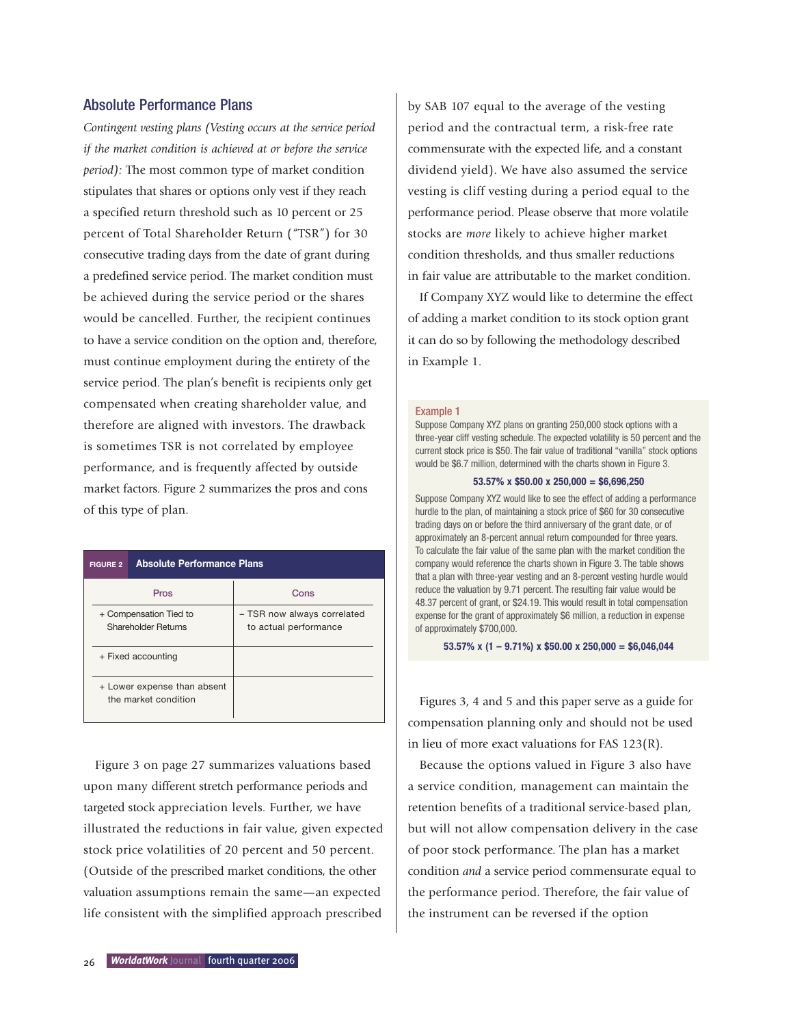# Absolute Performance Plans

*Contingent vesting plans (Vesting occurs at the service period if the market condition is achieved at or before the service period):* The most common type of market condition stipulates that shares or options only vest if they reach a specified return threshold such as 10 percent or 25 percent of Total Shareholder Return ("TSR") for 30 consecutive trading days from the date of grant during a predefined service period. The market condition must be achieved during the service period or the shares would be cancelled. Further, the recipient continues to have a service condition on the option and, therefore, must continue employment during the entirety of the service period. The plan's benefit is recipients only get compensated when creating shareholder value, and therefore are aligned with investors. The drawback is sometimes TSR is not correlated by employee performance, and is frequently affected by outside market factors. Figure 2 summarizes the pros and cons of this type of plan.

| <b>FIGURE 2</b>                                     | <b>Absolute Performance Plans</b> |                                                      |  |  |  |
|-----------------------------------------------------|-----------------------------------|------------------------------------------------------|--|--|--|
|                                                     | Pros                              | Cons                                                 |  |  |  |
| + Compensation Tied to<br>Shareholder Returns       |                                   | - TSR now always correlated<br>to actual performance |  |  |  |
| + Fixed accounting                                  |                                   |                                                      |  |  |  |
| + Lower expense than absent<br>the market condition |                                   |                                                      |  |  |  |

Figure 3 on page 27 summarizes valuations based upon many different stretch performance periods and targeted stock appreciation levels. Further, we have illustrated the reductions in fair value, given expected stock price volatilities of 20 percent and 50 percent. (Outside of the prescribed market conditions, the other valuation assumptions remain the same—an expected life consistent with the simplified approach prescribed

by SAB 107 equal to the average of the vesting period and the contractual term, a risk-free rate commensurate with the expected life, and a constant dividend yield). We have also assumed the service vesting is cliff vesting during a period equal to the performance period. Please observe that more volatile stocks are *more* likely to achieve higher market condition thresholds, and thus smaller reductions in fair value are attributable to the market condition.

If Company XYZ would like to determine the effect of adding a market condition to its stock option grant it can do so by following the methodology described in Example 1.

#### Example 1

Suppose Company XYZ plans on granting 250,000 stock options with a three-year cliff vesting schedule. The expected volatility is 50 percent and the current stock price is \$50. The fair value of traditional "vanilla" stock options would be \$6.7 million, determined with the charts shown in Figure 3.

#### **53.57% x \$50.00 x 250,000 = \$6,696,250**

Suppose Company XYZ would like to see the effect of adding a performance hurdle to the plan, of maintaining a stock price of \$60 for 30 consecutive trading days on or before the third anniversary of the grant date, or of approximately an 8-percent annual return compounded for three years. To calculate the fair value of the same plan with the market condition the company would reference the charts shown in Figure 3. The table shows that a plan with three-year vesting and an 8-percent vesting hurdle would reduce the valuation by 9.71 percent. The resulting fair value would be 48.37 percent of grant, or \$24.19. This would result in total compensation expense for the grant of approximately \$6 million, a reduction in expense of approximately \$700,000.

**53.57% x (1 – 9.71%) x \$50.00 x 250,000 = \$6,046,044**

Figures 3, 4 and 5 and this paper serve as a guide for compensation planning only and should not be used in lieu of more exact valuations for FAS 123(R).

Because the options valued in Figure 3 also have a service condition, management can maintain the retention benefits of a traditional service-based plan, but will not allow compensation delivery in the case of poor stock performance. The plan has a market condition *and* a service period commensurate equal to the performance period. Therefore, the fair value of the instrument can be reversed if the option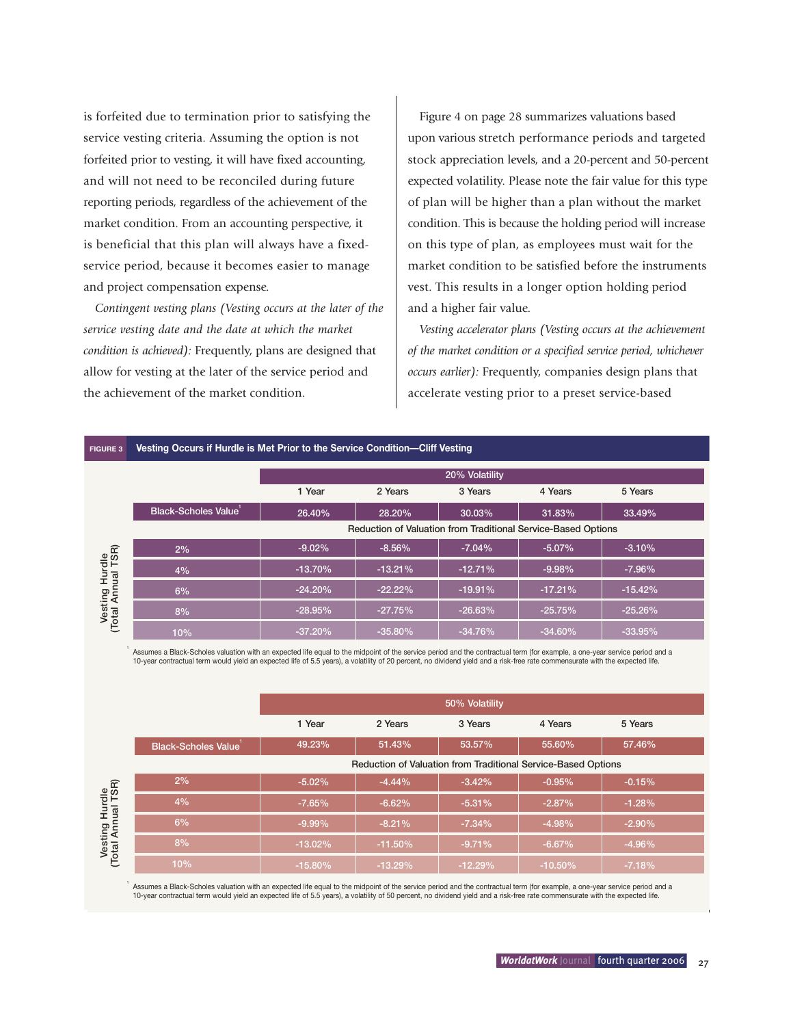is forfeited due to termination prior to satisfying the service vesting criteria. Assuming the option is not forfeited prior to vesting, it will have fixed accounting, and will not need to be reconciled during future reporting periods, regardless of the achievement of the market condition. From an accounting perspective, it is beneficial that this plan will always have a fixedservice period, because it becomes easier to manage and project compensation expense.

*Contingent vesting plans (Vesting occurs at the later of the service vesting date and the date at which the market condition is achieved):* Frequently, plans are designed that allow for vesting at the later of the service period and the achievement of the market condition.

Figure 4 on page 28 summarizes valuations based upon various stretch performance periods and targeted stock appreciation levels, and a 20-percent and 50-percent expected volatility. Please note the fair value for this type of plan will be higher than a plan without the market condition. This is because the holding period will increase on this type of plan, as employees must wait for the market condition to be satisfied before the instruments vest. This results in a longer option holding period and a higher fair value.

*Vesting accelerator plans (Vesting occurs at the achievement of the market condition or a specified service period, whichever occurs earlier):* Frequently, companies design plans that accelerate vesting prior to a preset service-based

| 1001120                              | <b>TOOMING OVERFUSHED INTO THE REAL TION TO THE OCTTROG OUTRIGHT ONLY TOOMING</b> |                |           |           |                                                               |           |  |  |
|--------------------------------------|-----------------------------------------------------------------------------------|----------------|-----------|-----------|---------------------------------------------------------------|-----------|--|--|
|                                      |                                                                                   | 20% Volatility |           |           |                                                               |           |  |  |
|                                      |                                                                                   | 1 Year         | 2 Years   | 3 Years   | 4 Years                                                       | 5 Years   |  |  |
|                                      | <b>Black-Scholes Value</b>                                                        | 26,40%         | 28.20%    | 30.03%    | 31.83%                                                        | 33.49%    |  |  |
|                                      |                                                                                   |                |           |           | Reduction of Valuation from Traditional Service-Based Options |           |  |  |
|                                      | $2\%$                                                                             | $-9.02%$       | $-8.56%$  | $-7.04%$  | $-5.07%$                                                      | $-3.10%$  |  |  |
| Vesting Hurdle<br>(Total Annual TSR) | 4%                                                                                | $-13.70%$      | $-13.21%$ | $-12.71%$ | $-9.98%$                                                      | $-7.96%$  |  |  |
|                                      | 6%                                                                                | $-24.20%$      | $-22.22%$ | $-19.91%$ | $-17.21%$                                                     | $-15.42%$ |  |  |
|                                      | 8%                                                                                | $-28.95%$      | $-27.75%$ | $-26.63%$ | $-25.75%$                                                     | $-25.26%$ |  |  |
|                                      | 10%                                                                               | $-37.20%$      | $-35.80%$ | $-34.76%$ | $-34.60%$                                                     | $-33.95%$ |  |  |

**FIGURE 3 Vesting Occurs if Hurdle is Met Prior to the Service Condition—Cliff Vesting**

Assumes a Black-Scholes valuation with an expected life equal to the midpoint of the service period and the contractual term (for example, a one-year service period and a 10-year contractual term would yield an expected life of 5.5 years), a volatility of 20 percent, no dividend yield and a risk-free rate commensurate with the expected life.

|                                      |                                  | 50% Volatility |           |           |                                                               |           |  |
|--------------------------------------|----------------------------------|----------------|-----------|-----------|---------------------------------------------------------------|-----------|--|
|                                      |                                  | 1 Year         | 2 Years   | 3 Years   | 4 Years                                                       | 5 Years   |  |
|                                      | Black-Scholes Value <sup>1</sup> | 49.23%         | 51.43%    | 53.57%    | 55,60%                                                        | 57.46%    |  |
|                                      |                                  |                |           |           | Reduction of Valuation from Traditional Service-Based Options |           |  |
|                                      | 2%                               | $-5.02%$       | $-4.44%$  | $-3.42%$  | $-0.95%$                                                      | $-0.15%$  |  |
|                                      | 4%                               | $-7.65%$       | $-6.62%$  | $-5.31%$  | $-2.87%$                                                      | $-1.28%$  |  |
|                                      | 6%                               | $-9.99\%$      | $-8.21%$  | $-7.34%$  | $-4.98%$                                                      | $-2.90\%$ |  |
| Vesting Hurdle<br>(Total Annual TSR) | 8%                               | $-13.02%$      | $-11.50%$ | $-9.71%$  | $-6.67%$                                                      | $-4.96%$  |  |
|                                      | 10%                              | $-15.80%$      | $-13.29%$ | $-12.29%$ | $-10.50\%$                                                    | $-7.18%$  |  |

<sup>1</sup> Assumes a Black-Scholes valuation with an expected life equal to the midpoint of the service period and the contractual term (for example, a one-year service period and a 10-year contractual term would yield an expected life of 5.5 years), a volatility of 50 percent, no dividend yield and a risk-free rate commensurate with the expected life.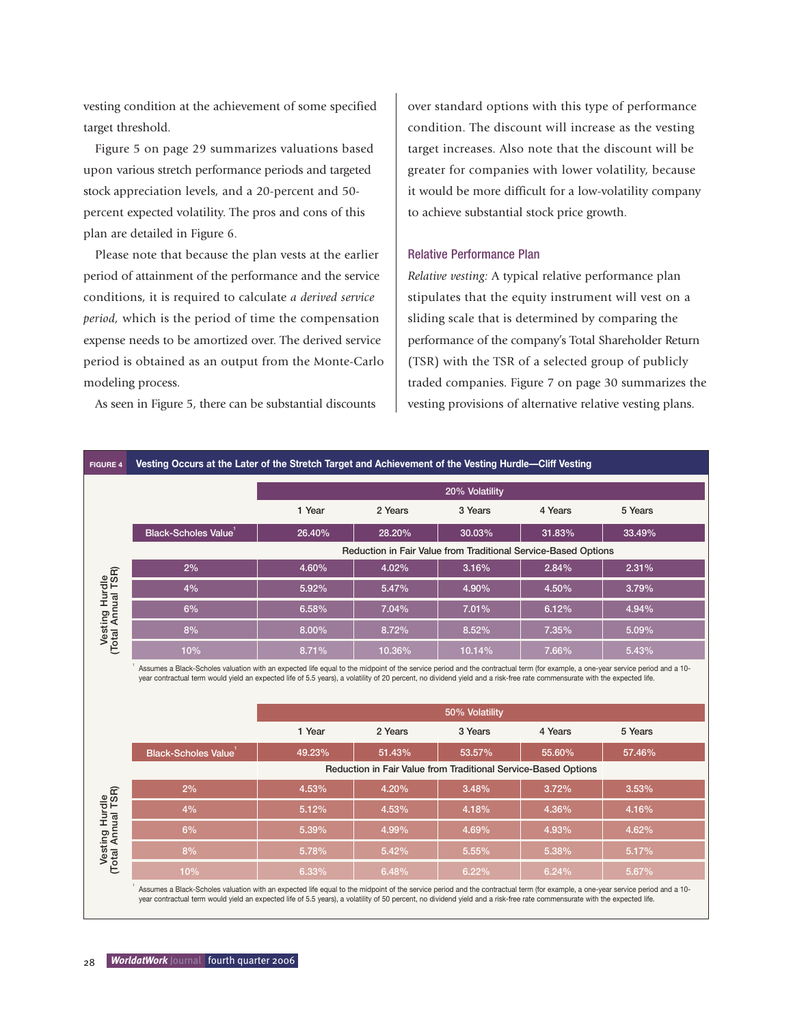vesting condition at the achievement of some specified target threshold.

Figure 5 on page 29 summarizes valuations based upon various stretch performance periods and targeted stock appreciation levels, and a 20-percent and 50 percent expected volatility. The pros and cons of this plan are detailed in Figure 6.

Please note that because the plan vests at the earlier period of attainment of the performance and the service conditions, it is required to calculate *a derived service period,* which is the period of time the compensation expense needs to be amortized over. The derived service period is obtained as an output from the Monte-Carlo modeling process.

As seen in Figure 5, there can be substantial discounts

over standard options with this type of performance condition. The discount will increase as the vesting target increases. Also note that the discount will be greater for companies with lower volatility, because it would be more difficult for a low-volatility company to achieve substantial stock price growth.

# Relative Performance Plan

*Relative vesting:* A typical relative performance plan stipulates that the equity instrument will vest on a sliding scale that is determined by comparing the performance of the company's Total Shareholder Return (TSR) with the TSR of a selected group of publicly traded companies. Figure 7 on page 30 summarizes the vesting provisions of alternative relative vesting plans.

| <b>FIGURE 4</b>                      | Vesting Occurs at the Later of the Stretch Target and Achievement of the Vesting Hurdle-Cliff Vesting                                                                                                                                                                                                                                                       |        |         |                                                                |         |         |
|--------------------------------------|-------------------------------------------------------------------------------------------------------------------------------------------------------------------------------------------------------------------------------------------------------------------------------------------------------------------------------------------------------------|--------|---------|----------------------------------------------------------------|---------|---------|
|                                      |                                                                                                                                                                                                                                                                                                                                                             |        |         | 20% Volatility                                                 |         |         |
|                                      |                                                                                                                                                                                                                                                                                                                                                             | 1 Year | 2 Years | 3 Years                                                        | 4 Years | 5 Years |
|                                      | Black-Scholes Value                                                                                                                                                                                                                                                                                                                                         | 26.40% | 28.20%  | 30.03%                                                         | 31.83%  | 33.49%  |
|                                      |                                                                                                                                                                                                                                                                                                                                                             |        |         | Reduction in Fair Value from Traditional Service-Based Options |         |         |
|                                      | 2%                                                                                                                                                                                                                                                                                                                                                          | 4.60%  | 4.02%   | 3.16%                                                          | 2.84%   | 2.31%   |
|                                      | 4%                                                                                                                                                                                                                                                                                                                                                          | 5.92%  | 5.47%   | 4.90%                                                          | 4.50%   | 3.79%   |
|                                      | 6%                                                                                                                                                                                                                                                                                                                                                          | 6.58%  | 7.04%   | 7.01%                                                          | 6.12%   | 4.94%   |
| Vesting Hurdle<br>(Total Annual TSR) | 8%                                                                                                                                                                                                                                                                                                                                                          | 8.00%  | 8.72%   | 8.52%                                                          | 7.35%   | 5.09%   |
|                                      | 10%                                                                                                                                                                                                                                                                                                                                                         | 8.71%  | 10.36%  | 10.14%                                                         | 7.66%   | 5.43%   |
|                                      |                                                                                                                                                                                                                                                                                                                                                             | 1 Year | 2 Years | 50% Volatility<br>3 Years                                      | 4 Years | 5 Years |
|                                      | <b>Black-Scholes Value</b>                                                                                                                                                                                                                                                                                                                                  | 49.23% | 51.43%  | 53.57%                                                         | 55,60%  | 57.46%  |
|                                      |                                                                                                                                                                                                                                                                                                                                                             |        |         | Reduction in Fair Value from Traditional Service-Based Options |         |         |
|                                      | 2%                                                                                                                                                                                                                                                                                                                                                          | 4.53%  | 4.20%   | 3.48%                                                          | 3.72%   | 3.53%   |
| Vesting Hurdle<br>(Total Annual TSR) | 4%                                                                                                                                                                                                                                                                                                                                                          | 5.12%  | 4.53%   | 4.18%                                                          | 4.36%   | 4.16%   |
|                                      | 6%                                                                                                                                                                                                                                                                                                                                                          | 5.39%  | 4.99%   | 4.69%                                                          | 4.93%   | 4.62%   |
|                                      | 8%                                                                                                                                                                                                                                                                                                                                                          | 5.78%  | 5.42%   | 5.55%                                                          | 5.38%   | 5.17%   |
|                                      | 10%                                                                                                                                                                                                                                                                                                                                                         | 6.33%  | 6.48%   | 6.22%                                                          | 6.24%   | 5.67%   |
|                                      | Assumes a Black-Scholes valuation with an expected life equal to the midpoint of the service period and the contractual term (for example, a one-year service period and a 10-<br>year contractual term would yield an expected life of 5.5 years), a volatility of 50 percent, no dividend yield and a risk-free rate commensurate with the expected life. |        |         |                                                                |         |         |
| 28                                   | <b>WorldatWork</b> Journal fourth quarter 2006                                                                                                                                                                                                                                                                                                              |        |         |                                                                |         |         |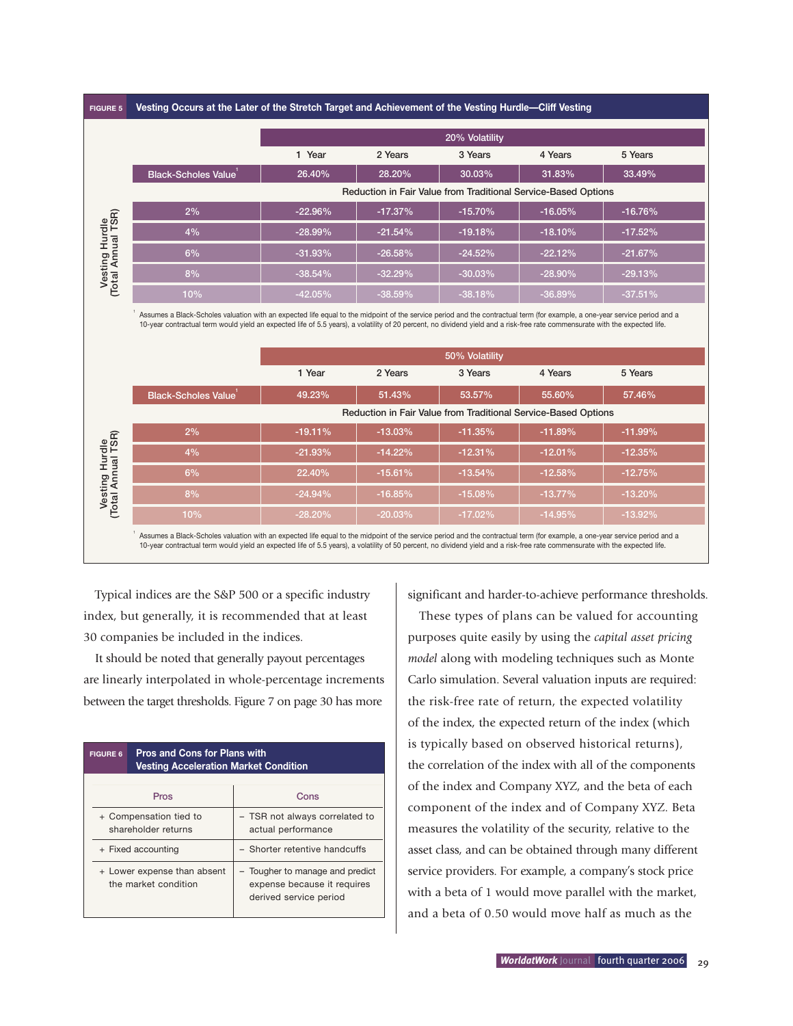| <b>EIGHDE E</b> | Vecting C |  |
|-----------------|-----------|--|

**FIGURE 5 Vesting Occurs at the Later of the Stretch Target and Achievement of the Vesting Hurdle—Cliff Vesting**

|                                      |                            |            | 20% Volatility |           |                                                                |           |  |  |
|--------------------------------------|----------------------------|------------|----------------|-----------|----------------------------------------------------------------|-----------|--|--|
|                                      |                            | 1 Year     | 2 Years        | 3 Years   | 4 Years                                                        | 5 Years   |  |  |
|                                      | <b>Black-Scholes Value</b> | 26.40%     | 28.20%         | 30.03%    | 31.83%                                                         | 33.49%    |  |  |
|                                      |                            |            |                |           | Reduction in Fair Value from Traditional Service-Based Options |           |  |  |
|                                      | 2%                         | $-22.96\%$ | $-17.37%$      | $-15.70%$ | $-16.05%$                                                      | $-16.76%$ |  |  |
|                                      | 4%                         | $-28.99\%$ | $-21.54%$      | $-19.18%$ | $-18.10%$                                                      | $-17.52%$ |  |  |
|                                      | 6%                         | $-31.93%$  | $-26.58%$      | $-24.52%$ | $-22.12%$                                                      | $-21.67%$ |  |  |
| Vesting Hurdle<br>(Total Annual TSR) | 8%                         | $-38.54%$  | $-32.29%$      | $-30.03%$ | $-28.90\%$                                                     | $-29.13%$ |  |  |
|                                      | 10%                        | $-42.05%$  | $-38.59%$      | $-38.18%$ | $-36.89%$                                                      | $-37.51%$ |  |  |

Assumes a Black-Scholes valuation with an expected life equal to the midpoint of the service period and the contractual term (for example, a one-year service period and a 10-year contractual term would yield an expected life of 5.5 years), a volatility of 20 percent, no dividend yield and a risk-free rate commensurate with the expected life.

|                             |                            | 50% Volatility |            |           |                                                                |            |  |
|-----------------------------|----------------------------|----------------|------------|-----------|----------------------------------------------------------------|------------|--|
|                             |                            | 1 Year         | 2 Years    | 3 Years   | 4 Years                                                        | 5 Years    |  |
|                             | <b>Black-Scholes Value</b> | 49.23%         | 51.43%     | 53,57%    | 55,60%                                                         | 57.46%     |  |
|                             |                            |                |            |           | Reduction in Fair Value from Traditional Service-Based Options |            |  |
|                             | 2%                         | $-19.11%$      | $-13.03%$  | $-11.35%$ | $-11.89%$                                                      | $-11.99%$  |  |
| Hurdle<br>"al TSR)          | 4%                         | $-21.93%$      | $-14.22%$  | $-12.31%$ | $-12.01%$                                                      | $-12.35\%$ |  |
|                             | 6%                         | 22,40%         | $-15.61%$  | $-13.54%$ | $-12.58%$                                                      | $-12.75%$  |  |
| Vesting Hur<br>Total Annual | 8%                         | $-24.94%$      | $-16.85%$  | $-15.08%$ | $-13.77%$                                                      | $-13.20%$  |  |
|                             | 10%                        | $-28.20%$      | $-20.03\%$ | $-17.02%$ | $-14.95%$                                                      | $-13.92%$  |  |

Assumes a Black-Scholes valuation with an expected life equal to the midpoint of the service period and the contractual term (for example, a one-year service period and a 10-year contractual term would yield an expected life of 5.5 years), a volatility of 50 percent, no dividend yield and a risk-free rate commensurate with the expected life.

Typical indices are the S&P 500 or a specific industry index, but generally, it is recommended that at least 30 companies be included in the indices.

It should be noted that generally payout percentages are linearly interpolated in whole-percentage increments between the target thresholds. Figure 7 on page 30 has more

| <b>FIGURE 6</b>                                     | <b>Pros and Cons for Plans with</b><br><b>Vesting Acceleration Market Condition</b> |                                                                                          |
|-----------------------------------------------------|-------------------------------------------------------------------------------------|------------------------------------------------------------------------------------------|
|                                                     | Pros                                                                                | Cons                                                                                     |
|                                                     | + Compensation tied to<br>shareholder returns                                       | - TSR not always correlated to<br>actual performance                                     |
|                                                     | + Fixed accounting                                                                  | - Shorter retentive handcuffs                                                            |
| + Lower expense than absent<br>the market condition |                                                                                     | - Tougher to manage and predict<br>expense because it requires<br>derived service period |

significant and harder-to-achieve performance thresholds. These types of plans can be valued for accounting purposes quite easily by using the *capital asset pricing model* along with modeling techniques such as Monte Carlo simulation. Several valuation inputs are required: the risk-free rate of return, the expected volatility of the index, the expected return of the index (which is typically based on observed historical returns), the correlation of the index with all of the components of the index and Company XYZ, and the beta of each component of the index and of Company XYZ. Beta measures the volatility of the security, relative to the asset class, and can be obtained through many different service providers. For example, a company's stock price with a beta of 1 would move parallel with the market, and a beta of 0.50 would move half as much as the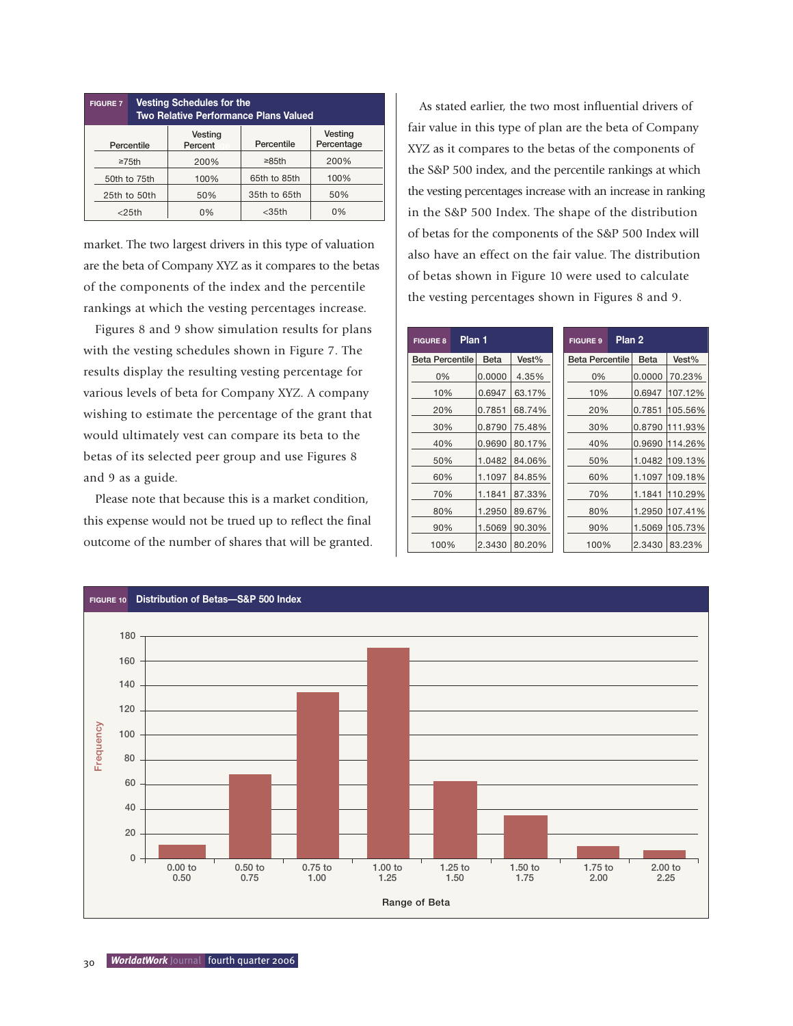|              | <b>FIGURE 7</b> | <b>Vesting Schedules for the</b><br>Two Relative Performance Plans Valued |                    |              |                       |  |  |
|--------------|-----------------|---------------------------------------------------------------------------|--------------------|--------------|-----------------------|--|--|
|              |                 | Percentile                                                                | Vesting<br>Percent | Percentile   | Vesting<br>Percentage |  |  |
|              | $\geq$ 75th     |                                                                           | 200%               | $\geq 85$ th | 200%                  |  |  |
| 50th to 75th |                 |                                                                           | 100%               | 65th to 85th | 100%                  |  |  |
| 25th to 50th |                 |                                                                           | 50%                | 35th to 65th | 50%                   |  |  |
|              |                 | $<$ 25th                                                                  | 0%                 | $<$ 35th     | 0%                    |  |  |

market. The two largest drivers in this type of valuation are the beta of Company XYZ as it compares to the betas of the components of the index and the percentile rankings at which the vesting percentages increase.

Figures 8 and 9 show simulation results for plans with the vesting schedules shown in Figure 7. The results display the resulting vesting percentage for various levels of beta for Company XYZ. A company wishing to estimate the percentage of the grant that would ultimately vest can compare its beta to the betas of its selected peer group and use Figures 8 and 9 as a guide.

Please note that because this is a market condition, this expense would not be trued up to reflect the final outcome of the number of shares that will be granted.

As stated earlier, the two most influential drivers of fair value in this type of plan are the beta of Company XYZ as it compares to the betas of the components of the S&P 500 index, and the percentile rankings at which the vesting percentages increase with an increase in ranking in the S&P 500 Index. The shape of the distribution of betas for the components of the S&P 500 Index will also have an effect on the fair value. The distribution of betas shown in Figure 10 were used to calculate the vesting percentages shown in Figures 8 and 9.

| <b>FIGURE 8</b>        | Plan 1 |        | <b>FIGURE 9</b>        | Plan <sub>2</sub> |        |         |
|------------------------|--------|--------|------------------------|-------------------|--------|---------|
| <b>Beta Percentile</b> | Beta   | Vest%  | <b>Beta Percentile</b> |                   | Beta   | Vest%   |
| 0%                     | 0.0000 | 4.35%  | 0%                     |                   | 0.0000 | 70.23%  |
| 10%                    | 0.6947 | 63.17% | 10%                    |                   | 0.6947 | 107.12% |
| 20%                    | 0.7851 | 68.74% | 20%                    |                   | 0.7851 | 105.56% |
| 30%                    | 0.8790 | 75.48% | 30%                    |                   | 0.8790 | 111.93% |
| 40%                    | 0.9690 | 80.17% | 40%                    |                   | 0.9690 | 114.26% |
| 50%                    | 1.0482 | 84.06% | 50%                    |                   | 1.0482 | 109.13% |
| 60%                    | 1.1097 | 84.85% | 60%                    |                   | 1.1097 | 109.18% |
| 70%                    | 1.1841 | 87.33% | 70%                    |                   | 1.1841 | 110.29% |
| 80%                    | 1.2950 | 89.67% | 80%                    |                   | 1.2950 | 107.41% |
| 90%                    | 1.5069 | 90.30% | 90%                    |                   | 1.5069 | 105.73% |
| 100%                   | 2.3430 | 80.20% | 100%                   |                   | 2.3430 | 83.23%  |